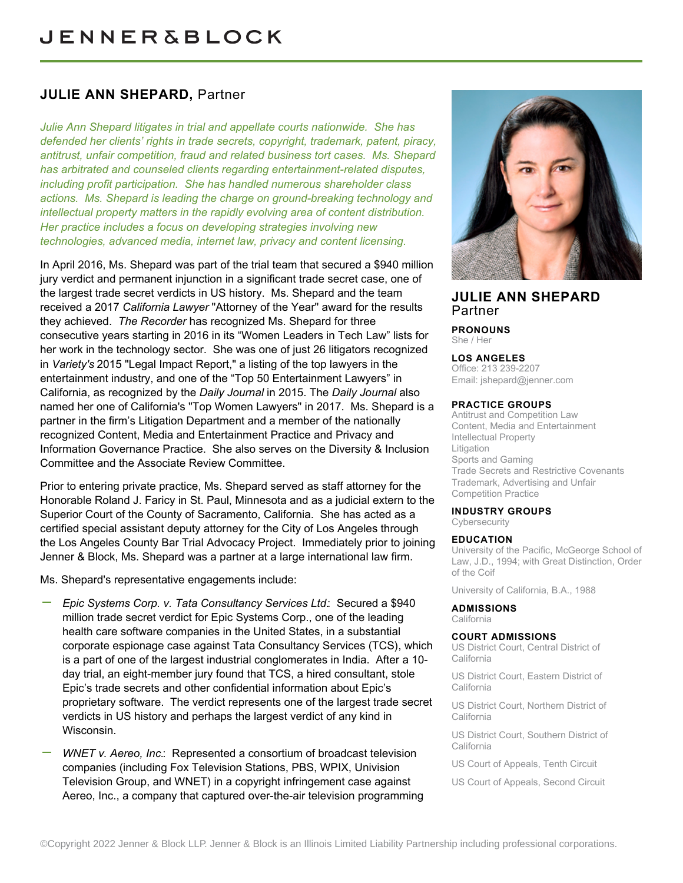# **JULIE ANN SHEPARD,** Partner

*Julie Ann Shepard litigates in trial and appellate courts nationwide. She has defended her clients' rights in trade secrets, copyright, trademark, patent, piracy, antitrust, unfair competition, fraud and related business tort cases. Ms. Shepard has arbitrated and counseled clients regarding entertainment-related disputes, including profit participation. She has handled numerous shareholder class actions. Ms. Shepard is leading the charge on ground-breaking technology and intellectual property matters in the rapidly evolving area of content distribution. Her practice includes a focus on developing strategies involving new technologies, advanced media, internet law, privacy and content licensing.*

In April 2016, Ms. Shepard was part of the trial team that secured a \$940 million jury verdict and permanent injunction in a significant trade secret case, one of the largest trade secret verdicts in US history. Ms. Shepard and the team received a 2017 *California Lawyer* "Attorney of the Year" award for the results they achieved. *The Recorder* has recognized Ms. Shepard for three consecutive years starting in 2016 in its "Women Leaders in Tech Law" lists for her work in the technology sector. She was one of just 26 litigators recognized in *Variety's* 2015 "Legal Impact Report," a listing of the top lawyers in the entertainment industry, and one of the "Top 50 Entertainment Lawyers" in California, as recognized by the *Daily Journal* in 2015. The *Daily Journal* also named her one of California's "Top Women Lawyers" in 2017. Ms. Shepard is a partner in the firm's Litigation Department and a member of the nationally recognized Content, Media and Entertainment Practice and Privacy and Information Governance Practice. She also serves on the Diversity & Inclusion Committee and the Associate Review Committee.

Prior to entering private practice, Ms. Shepard served as staff attorney for the Honorable Roland J. Faricy in St. Paul, Minnesota and as a judicial extern to the Superior Court of the County of Sacramento, California. She has acted as a certified special assistant deputy attorney for the City of Los Angeles through the Los Angeles County Bar Trial Advocacy Project. Immediately prior to joining Jenner & Block, Ms. Shepard was a partner at a large international law firm.

Ms. Shepard's representative engagements include:

- *Epic Systems Corp. v. Tata Consultancy Services Ltd.*: Secured a \$940 million trade secret verdict for Epic Systems Corp., one of the leading health care software companies in the United States, in a substantial corporate espionage case against Tata Consultancy Services (TCS), which is a part of one of the largest industrial conglomerates in India. After a 10 day trial, an eight-member jury found that TCS, a hired consultant, stole Epic's trade secrets and other confidential information about Epic's proprietary software. The verdict represents one of the largest trade secret verdicts in US history and perhaps the largest verdict of any kind in Wisconsin.
- *WNET v. Aereo, Inc.*: Represented a consortium of broadcast television companies (including Fox Television Stations, PBS, WPIX, Univision Television Group, and WNET) in a copyright infringement case against Aereo, Inc., a company that captured over-the-air television programming



## **JULIE ANN SHEPARD** Partner

**PRONOUNS** She / Her

#### **LOS ANGELES**

Office: 213 239-2207 Email: [jshepard@jenner.com](mailto:jshepard@jenner.com)

#### **PRACTICE GROUPS**

Antitrust and Competition Law Content, Media and Entertainment Intellectual Property Litigation Sports and Gaming Trade Secrets and Restrictive Covenants Trademark, Advertising and Unfair Competition Practice

#### **INDUSTRY GROUPS**

**Cybersecurity** 

#### **EDUCATION**

University of the Pacific, McGeorge School of Law, J.D., 1994; with Great Distinction, Order of the Coif

University of California, B.A., 1988

**ADMISSIONS** California

#### **COURT ADMISSIONS**

US District Court, Central District of California

US District Court, Eastern District of California

US District Court, Northern District of California

US District Court, Southern District of California

US Court of Appeals, Tenth Circuit

US Court of Appeals, Second Circuit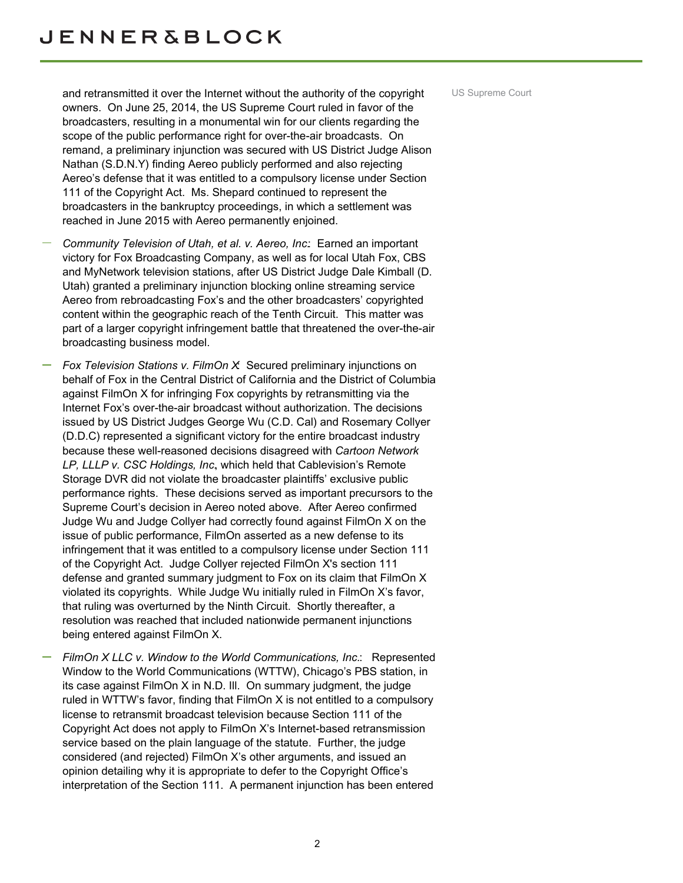and retransmitted it over the Internet without the authority of the copyright US Supreme Court owners. On June 25, 2014, the US Supreme Court ruled in favor of the broadcasters, resulting in a monumental win for our clients regarding the scope of the public performance right for over-the-air broadcasts. On remand, a preliminary injunction was secured with US District Judge Alison Nathan (S.D.N.Y) finding Aereo publicly performed and also rejecting Aereo's defense that it was entitled to a compulsory license under Section 111 of the Copyright Act. Ms. Shepard continued to represent the broadcasters in the bankruptcy proceedings, in which a settlement was reached in June 2015 with Aereo permanently enjoined.

- *Community Television of Utah, et al. v. Aereo, Inc.*: Earned an important victory for Fox Broadcasting Company, as well as for local Utah Fox, CBS and MyNetwork television stations, after US District Judge Dale Kimball (D. Utah) granted a preliminary injunction blocking online streaming service Aereo from rebroadcasting Fox's and the other broadcasters' copyrighted content within the geographic reach of the Tenth Circuit. This matter was part of a larger copyright infringement battle that threatened the over-the-air broadcasting business model.
- *Fox Television Stations v. FilmOn X*: Secured preliminary injunctions on behalf of Fox in the Central District of California and the District of Columbia against FilmOn X for infringing Fox copyrights by retransmitting via the Internet Fox's over-the-air broadcast without authorization. The decisions issued by US District Judges George Wu (C.D. Cal) and Rosemary Collyer (D.D.C) represented a significant victory for the entire broadcast industry because these well-reasoned decisions disagreed with *Cartoon Network LP, LLLP v. CSC Holdings, Inc.*, which held that Cablevision's Remote Storage DVR did not violate the broadcaster plaintiffs' exclusive public performance rights. These decisions served as important precursors to the Supreme Court's decision in Aereo noted above. After Aereo confirmed Judge Wu and Judge Collyer had correctly found against FilmOn X on the issue of public performance, FilmOn asserted as a new defense to its infringement that it was entitled to a compulsory license under Section 111 of the Copyright Act. Judge Collyer rejected FilmOn X's section 111 defense and granted summary judgment to Fox on its claim that FilmOn X violated its copyrights. While Judge Wu initially ruled in FilmOn X's favor, that ruling was overturned by the Ninth Circuit. Shortly thereafter, a resolution was reached that included nationwide permanent injunctions being entered against FilmOn X.
- *FilmOn X LLC v. Window to the World Communications, Inc.*: Represented Window to the World Communications (WTTW), Chicago's PBS station, in its case against FilmOn X in N.D. Ill. On summary judgment, the judge ruled in WTTW's favor, finding that FilmOn X is not entitled to a compulsory license to retransmit broadcast television because Section 111 of the Copyright Act does not apply to FilmOn X's Internet-based retransmission service based on the plain language of the statute. Further, the judge considered (and rejected) FilmOn X's other arguments, and issued an opinion detailing why it is appropriate to defer to the Copyright Office's interpretation of the Section 111. A permanent injunction has been entered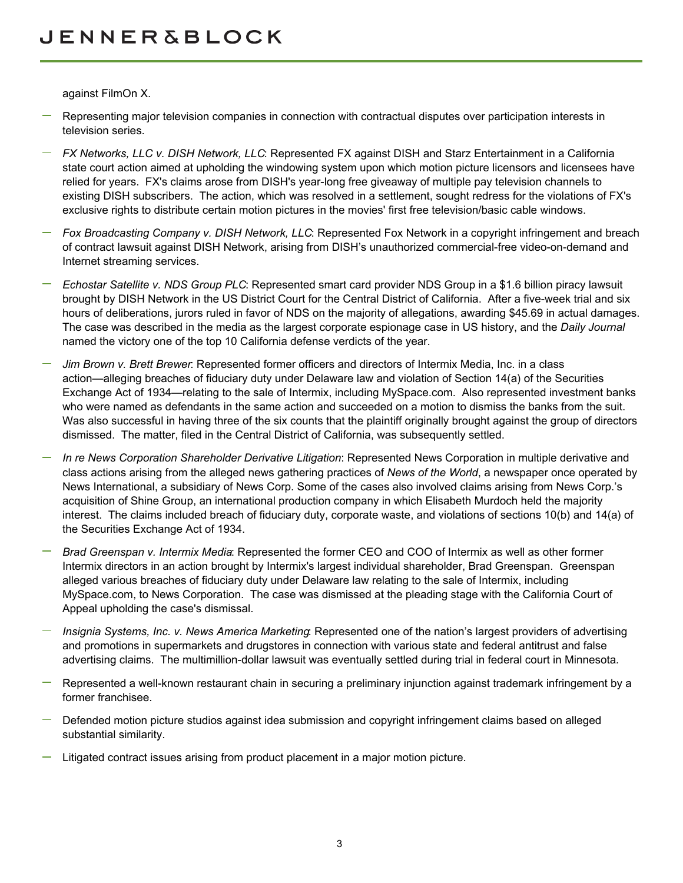against FilmOn X.

- Representing major television companies in connection with contractual disputes over participation interests in television series.
- *FX Networks, LLC v. DISH Network, LLC*: Represented FX against DISH and Starz Entertainment in a California state court action aimed at upholding the windowing system upon which motion picture licensors and licensees have relied for years. FX's claims arose from DISH's year-long free giveaway of multiple pay television channels to existing DISH subscribers. The action, which was resolved in a settlement, sought redress for the violations of FX's exclusive rights to distribute certain motion pictures in the movies' first free television/basic cable windows.
- *Fox Broadcasting Company v. DISH Network, LLC*: Represented Fox Network in a copyright infringement and breach of contract lawsuit against DISH Network, arising from DISH's unauthorized commercial-free video-on-demand and Internet streaming services.
- *Echostar Satellite v. NDS Group PLC*: Represented smart card provider NDS Group in a \$1.6 billion piracy lawsuit brought by DISH Network in the US District Court for the Central District of California. After a five-week trial and six hours of deliberations, jurors ruled in favor of NDS on the majority of allegations, awarding \$45.69 in actual damages. The case was described in the media as the largest corporate espionage case in US history, and the *Daily Journal* named the victory one of the top 10 California defense verdicts of the year.
- *Jim Brown v. Brett Brewer*: Represented former officers and directors of Intermix Media, Inc. in a class action—alleging breaches of fiduciary duty under Delaware law and violation of Section 14(a) of the Securities Exchange Act of 1934—relating to the sale of Intermix, including MySpace.com. Also represented investment banks who were named as defendants in the same action and succeeded on a motion to dismiss the banks from the suit. Was also successful in having three of the six counts that the plaintiff originally brought against the group of directors dismissed. The matter, filed in the Central District of California, was subsequently settled.
- *In re News Corporation Shareholder Derivative Litigation*: Represented News Corporation in multiple derivative and class actions arising from the alleged news gathering practices of *News of the World*, a newspaper once operated by News International, a subsidiary of News Corp. Some of the cases also involved claims arising from News Corp.'s acquisition of Shine Group, an international production company in which Elisabeth Murdoch held the majority interest. The claims included breach of fiduciary duty, corporate waste, and violations of sections 10(b) and 14(a) of the Securities Exchange Act of 1934.
- *Brad Greenspan v. Intermix Media*: Represented the former CEO and COO of Intermix as well as other former Intermix directors in an action brought by Intermix's largest individual shareholder, Brad Greenspan. Greenspan alleged various breaches of fiduciary duty under Delaware law relating to the sale of Intermix, including MySpace.com, to News Corporation. The case was dismissed at the pleading stage with the California Court of Appeal upholding the case's dismissal.
- *Insignia Systems, Inc. v. News America Marketing*: Represented one of the nation's largest providers of advertising and promotions in supermarkets and drugstores in connection with various state and federal antitrust and false advertising claims. The multimillion-dollar lawsuit was eventually settled during trial in federal court in Minnesota*.*
- Represented a well-known restaurant chain in securing a preliminary injunction against trademark infringement by a former franchisee.
- Defended motion picture studios against idea submission and copyright infringement claims based on alleged substantial similarity.
- Litigated contract issues arising from product placement in a major motion picture.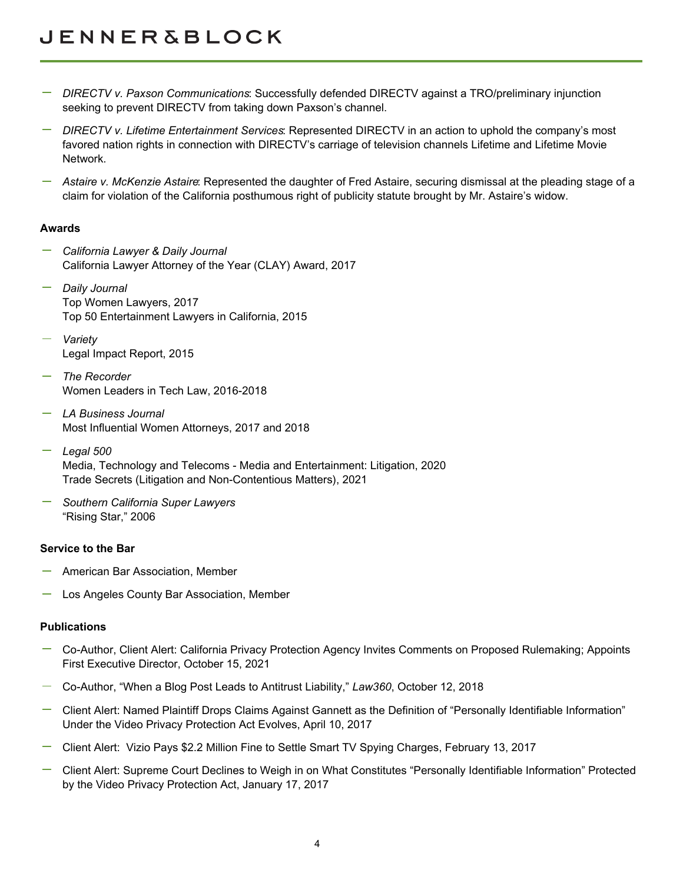# **JENNER&BLOCK**

- *DIRECTV v. Paxson Communications*: Successfully defended DIRECTV against a TRO/preliminary injunction seeking to prevent DIRECTV from taking down Paxson's channel.
- *DIRECTV v. Lifetime Entertainment Services*: Represented DIRECTV in an action to uphold the company's most favored nation rights in connection with DIRECTV's carriage of television channels Lifetime and Lifetime Movie Network.
- *Astaire v. McKenzie Astaire*: Represented the daughter of Fred Astaire, securing dismissal at the pleading stage of a claim for violation of the California posthumous right of publicity statute brought by Mr. Astaire's widow.

### **Awards**

- *California Lawyer & Daily Journal* California Lawyer Attorney of the Year (CLAY) Award, 2017
- *Daily Journal* Top Women Lawyers, 2017 Top 50 Entertainment Lawyers in California, 2015
- *Variety* Legal Impact Report, 2015
- *The Recorder* Women Leaders in Tech Law, 2016-2018
- *LA Business Journal* Most Influential Women Attorneys, 2017 and 2018
- *Legal 500*  Media, Technology and Telecoms - Media and Entertainment: Litigation, 2020 Trade Secrets (Litigation and Non-Contentious Matters), 2021
- *Southern California Super Lawyers* "Rising Star," 2006

### **Service to the Bar**

- American Bar Association, Member
- Los Angeles County Bar Association, Member

## **Publications**

- Co-Author, Client Alert: California Privacy Protection Agency Invites Comments on Proposed Rulemaking; Appoints First Executive Director, October 15, 2021
- Co-Author, "When a Blog Post Leads to Antitrust Liability," *Law360*, October 12, 2018
- Client Alert: Named Plaintiff Drops Claims Against Gannett as the Definition of "Personally Identifiable Information" Under the Video Privacy Protection Act Evolves, April 10, 2017
- Client Alert: Vizio Pays \$2.2 Million Fine to Settle Smart TV Spying Charges, February 13, 2017
- Client Alert: Supreme Court Declines to Weigh in on What Constitutes "Personally Identifiable Information" Protected by the Video Privacy Protection Act, January 17, 2017